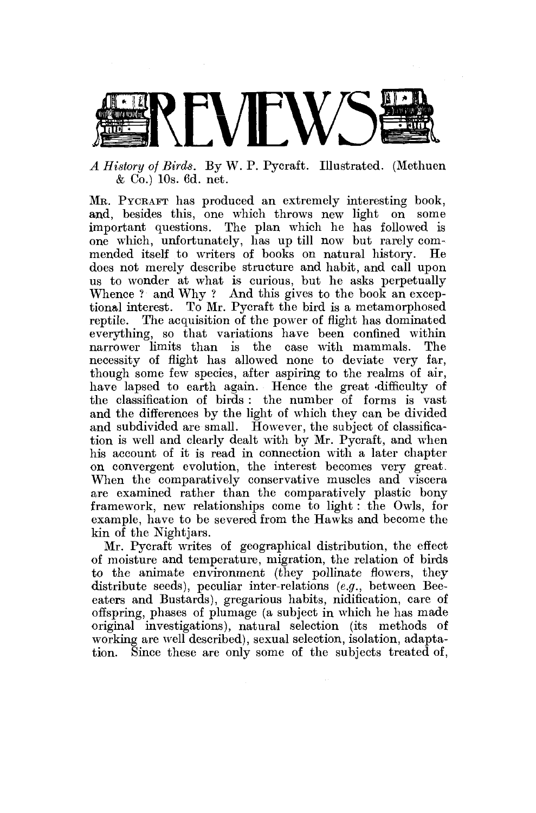

*A History of Birds.* By W. P. Pycraft. Illustrated. (Methuen & Co.) 10s. 6d. net.

MR. PYCRAFT has produced an extremely interesting book, and, besides this, one which throws new light on some important questions. The plan which he has followed is one which, unfortunately, has up till now but rarely commended itself to writers of books on natural history. He does not merely describe structure and habit, and call upon us to wonder at what is curious, but he asks perpetually Whence ? and Why ? And this gives to the book an exceptional interest. To Mr. Pycraft the bird is a metamorphosed reptile. The acquisition of the power of flight has dominated everything, so that variations have been confined within narrower limits than is the case with mammals. The necessity of flight has allowed none to deviate very far, though some few species, after aspiring to the realms of air, have lapsed to earth again. Hence the great •difficulty of the classification of birds : the number of forms is vast and the differences by the light of which they can be divided and subdivided are small. However, the subject of classification is well and clearly dealt with by Mr. Pycraft, and when his account of it is read in connection with a later chapter on convergent evolution, the interest becomes very great. When the comparatively conservative muscles and viscera are examined rather than the comparatively plastic bony framework, new relationships come to light : the Owls, for example, have to be severed from the Hawks and become the kin of the Nightjars.

Mr. Pycraft writes of geographical distribution, the effect of moisture and temperature, migration, the relation of birds to the animate environment (they pollinate flowers, they distribute seeds), peculiar inter-relations *(e.g.,* between Beeeaters and Bustards), gregarious habits, nidification, care of offspring, phases of plumage (a subject in which he has made original investigations), natural selection (its methods of working are well described), sexual selection, isolation, adaptation. Since these are only some of the subjects treated of,